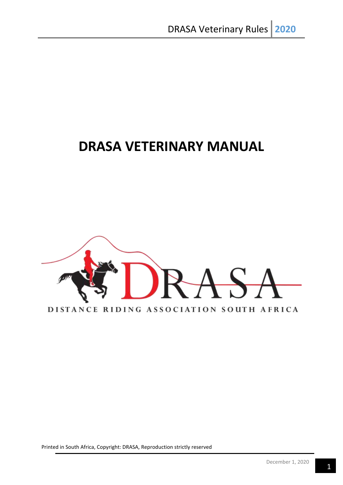# **DRASA VETERINARY MANUAL**



Printed in South Africa, Copyright: DRASA, Reproduction strictly reserved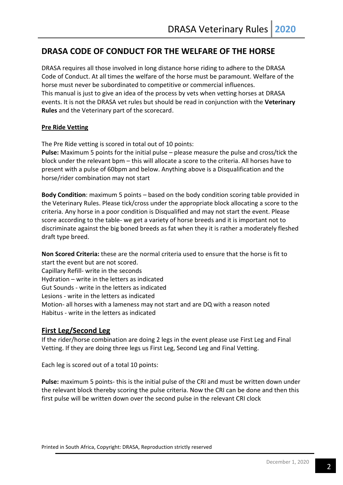# **DRASA CODE OF CONDUCT FOR THE WELFARE OF THE HORSE**

DRASA requires all those involved in long distance horse riding to adhere to the DRASA Code of Conduct. At all times the welfare of the horse must be paramount. Welfare of the horse must never be subordinated to competitive or commercial influences. This manual is just to give an idea of the process by vets when vetting horses at DRASA events. It is not the DRASA vet rules but should be read in conjunction with the **Veterinary Rules** and the Veterinary part of the scorecard.

## **Pre Ride Vetting**

The Pre Ride vetting is scored in total out of 10 points:

**Pulse:** Maximum 5 points for the initial pulse – please measure the pulse and cross/tick the block under the relevant bpm – this will allocate a score to the criteria. All horses have to present with a pulse of 60bpm and below. Anything above is a Disqualification and the horse/rider combination may not start

**Body Condition**: maximum 5 points – based on the body condition scoring table provided in the Veterinary Rules. Please tick/cross under the appropriate block allocating a score to the criteria. Any horse in a poor condition is Disqualified and may not start the event. Please score according to the table- we get a variety of horse breeds and it is important not to discriminate against the big boned breeds as fat when they it is rather a moderately fleshed draft type breed.

**Non Scored Criteria:** these are the normal criteria used to ensure that the horse is fit to start the event but are not scored. Capillary Refill- write in the seconds Hydration – write in the letters as indicated Gut Sounds - write in the letters as indicated Lesions - write in the letters as indicated Motion- all horses with a lameness may not start and are DQ with a reason noted Habitus - write in the letters as indicated

## **First Leg/Second Leg**

If the rider/horse combination are doing 2 legs in the event please use First Leg and Final Vetting. If they are doing three legs us First Leg, Second Leg and Final Vetting.

Each leg is scored out of a total 10 points:

**Pulse:** maximum 5 points- this is the initial pulse of the CRI and must be written down under the relevant block thereby scoring the pulse criteria. Now the CRI can be done and then this first pulse will be written down over the second pulse in the relevant CRI clock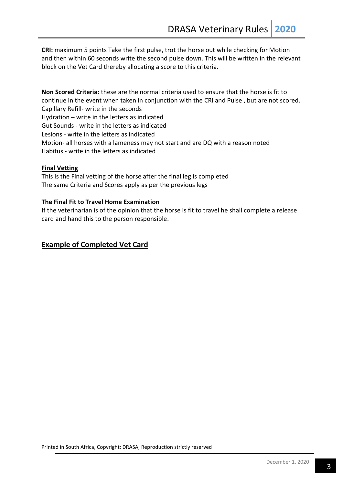**CRI:** maximum 5 points Take the first pulse, trot the horse out while checking for Motion and then within 60 seconds write the second pulse down. This will be written in the relevant block on the Vet Card thereby allocating a score to this criteria.

**Non Scored Criteria:** these are the normal criteria used to ensure that the horse is fit to continue in the event when taken in conjunction with the CRI and Pulse , but are not scored. Capillary Refill- write in the seconds Hydration – write in the letters as indicated Gut Sounds - write in the letters as indicated Lesions - write in the letters as indicated Motion- all horses with a lameness may not start and are DQ with a reason noted Habitus - write in the letters as indicated

## **Final Vetting**

This is the Final vetting of the horse after the final leg is completed The same Criteria and Scores apply as per the previous legs

## **The Final Fit to Travel Home Examination**

If the veterinarian is of the opinion that the horse is fit to travel he shall complete a release card and hand this to the person responsible.

## **Example of Completed Vet Card**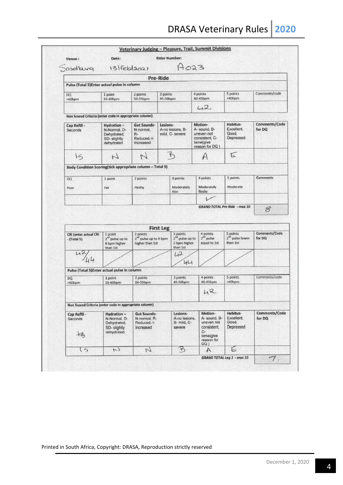DRASA Veterinary Rules **2020**

| Venue :                                                   | Date:                                                                  |                                                                  |                  | <b>Rider Number:</b>                                               |                                                                                        |                                                     |                                |
|-----------------------------------------------------------|------------------------------------------------------------------------|------------------------------------------------------------------|------------------|--------------------------------------------------------------------|----------------------------------------------------------------------------------------|-----------------------------------------------------|--------------------------------|
| Sasalburg 13/Feblaca)                                     |                                                                        |                                                                  |                  | Ao23                                                               |                                                                                        |                                                     |                                |
|                                                           |                                                                        |                                                                  | Pre-Ride         |                                                                    |                                                                                        |                                                     |                                |
| Pulse (Total 5)Enter actual pulse in column               |                                                                        |                                                                  |                  |                                                                    |                                                                                        |                                                     |                                |
| DO.                                                       | 1 point                                                                | 2 points                                                         | 3 points         |                                                                    | 4 points                                                                               | 5 points                                            | Comments/code                  |
| >60bpm                                                    | 55-60bpm                                                               | 50-55bpm                                                         | 45-50bpm         |                                                                    | 40-45bpm<br>42.                                                                        | <40bpm                                              |                                |
| Non Scored Criteria (enter code in appropriate column)    |                                                                        |                                                                  |                  |                                                                    |                                                                                        |                                                     |                                |
|                                                           |                                                                        |                                                                  |                  |                                                                    |                                                                                        | Habitus-                                            |                                |
| Cap Refill -<br>Seconds                                   | Hydration-<br>N-Normal. D-<br>Dehydrated.<br>SD-slightly<br>dehydrated | Gut Sounds-<br>N-normal.<br>R-<br>Reduced, +<br>Increased        | Lesions-         | A-no lesions, B-<br>mild, C- severe                                | Motion-<br>A- sound, B-<br>uneven not<br>consistent, C-<br>lame(give)<br>reason for DQ | Excellent.<br>Good.<br>Depressed                    | Comments/Code<br>for DQ        |
| 15                                                        | M                                                                      |                                                                  |                  | $R_{\text{D}}$                                                     | $^{+}$                                                                                 | 匸                                                   |                                |
| Body Condition Scoring(tick appropriate column - Total 5) |                                                                        |                                                                  |                  |                                                                    |                                                                                        |                                                     |                                |
| DQ                                                        | 1 point                                                                | 2 points                                                         |                  | 3 points                                                           | 4 points                                                                               | 5 points                                            | <b>Comments</b>                |
| Poor                                                      | Fat                                                                    | Fieshy                                                           |                  | Moderately<br>thin                                                 | Moderately<br>fleshy                                                                   | Moderate                                            |                                |
|                                                           |                                                                        |                                                                  |                  |                                                                    |                                                                                        |                                                     |                                |
|                                                           |                                                                        |                                                                  |                  |                                                                    |                                                                                        | <b>GRAND TOTAL Pre Ride - max 10</b>                | 8                              |
|                                                           |                                                                        |                                                                  |                  |                                                                    |                                                                                        |                                                     |                                |
| CRI (enter actual CRI<br>$-[Total 5]$                     | 1 point<br>2 <sup>rd</sup> pulse up to<br>6 bpm higher                 | 2 points<br>2 <sup>nd</sup> pulse up to 4 bpm<br>higher than 1st | <b>First Leg</b> | 3 points<br>2 <sup>%</sup> pulse up to<br>2 bom higher<br>than 1st | 4 points<br>$2nd$ pulse.<br>equal to 1st                                               | 5 points<br>2 <sup>88</sup> pulse lower<br>than 1st | for DQ                         |
|                                                           | than 1st                                                               |                                                                  |                  | 42                                                                 |                                                                                        |                                                     |                                |
|                                                           |                                                                        |                                                                  |                  | $44+$                                                              |                                                                                        |                                                     |                                |
| Pulse (Total 5)Enter actual pulse in column<br>DQ.        | 1 point                                                                | 2 points                                                         |                  | 3 points                                                           | 4 points                                                                               | 5 points                                            |                                |
| >60bpm                                                    | 55-60bpm                                                               | 50-55bpm                                                         |                  | 45-50bpm                                                           | 40-45bpm<br>42.                                                                        | <40bpm                                              | Comments/Code<br>Comments/code |
|                                                           |                                                                        |                                                                  |                  |                                                                    |                                                                                        |                                                     |                                |
| Non Scored Criteria (enter code in appropriate column)    |                                                                        |                                                                  |                  |                                                                    |                                                                                        |                                                     |                                |
| Cap Refill -<br>Seconds<br>代民                             | Hydration-<br>N-Normal, D-<br>Dehydrated,<br>SD-slightly<br>dehydrated | Gut Sounds-<br>N-normal, R-<br>Reduced-I-<br>Increased           |                  | Lesions-<br>A-no lesions,<br>B- mild, C-<br>severe                 | Motion-<br>A- sound, B-<br>uneven not<br>consistent.<br>c<br>Isme(give<br>reason for   | Habitus-<br>Excellent.<br>Good,<br>Depressed        | Comments/Code<br>for DQ        |
| しっ                                                        | L                                                                      | N                                                                |                  | B                                                                  | DQ)<br>$\mathbb{A}$                                                                    | E                                                   |                                |

Printed in South Africa, Copyright: DRASA, Reproduction strictly reserved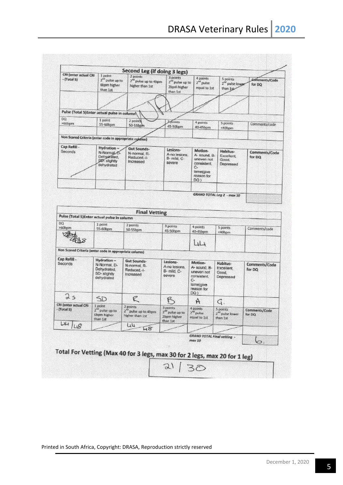|                                                                                                                                                                                                       |                                | Second Leg (if doing 3 legs)                                               |                                         |                                    |                              |                         |
|-------------------------------------------------------------------------------------------------------------------------------------------------------------------------------------------------------|--------------------------------|----------------------------------------------------------------------------|-----------------------------------------|------------------------------------|------------------------------|-------------------------|
| CRI (enter actual CRI                                                                                                                                                                                 | 1 point                        | 2 points                                                                   |                                         |                                    |                              |                         |
| $-(Total 5)$                                                                                                                                                                                          | 2 <sup>nd</sup> pulse up to    | 2 <sup>nd</sup> pulse up to 4bpm                                           | 3 points<br>Z <sup>ne</sup> pulse up to | 4 points                           | 5 points                     | Comments/Code           |
|                                                                                                                                                                                                       | 6bpm higher                    | higher than 1st                                                            | 2bpm higher                             | 2 <sup>nd</sup> pulse              | 2 <sup>nd</sup> pulse lower  | for DQ                  |
|                                                                                                                                                                                                       | than 1st                       |                                                                            | than 1st                                | equal to 1st                       | than 1st-                    |                         |
|                                                                                                                                                                                                       |                                |                                                                            |                                         |                                    |                              |                         |
|                                                                                                                                                                                                       |                                |                                                                            |                                         |                                    |                              |                         |
|                                                                                                                                                                                                       |                                |                                                                            |                                         |                                    |                              |                         |
|                                                                                                                                                                                                       |                                |                                                                            |                                         |                                    |                              |                         |
| Pulse (Total 5) Enter actual pulse in column                                                                                                                                                          |                                |                                                                            |                                         |                                    |                              |                         |
| DO.                                                                                                                                                                                                   | 1 point                        | 2 points                                                                   | 3-ficints.                              |                                    |                              |                         |
| >60bpm                                                                                                                                                                                                | 55-60bpm                       | 50-55bpm                                                                   | 45-50bpm                                | 4 points                           | 5 points                     | Comments/code           |
|                                                                                                                                                                                                       |                                |                                                                            |                                         | 40-45bpm                           | <40bpm                       |                         |
|                                                                                                                                                                                                       |                                |                                                                            |                                         |                                    |                              |                         |
| Non Scored Criteria (enter code in appropriate coldmn)                                                                                                                                                |                                |                                                                            |                                         |                                    |                              |                         |
|                                                                                                                                                                                                       |                                |                                                                            |                                         |                                    |                              |                         |
| Cap Refill -<br>Seconds                                                                                                                                                                               | Hydration-                     | Gut Sounds-                                                                | Lesions-                                | Motion-                            | Habitus-                     |                         |
|                                                                                                                                                                                                       | N-Normal-O-<br>Dehydrated.     | N-normal, R-                                                               | A-no lesions                            | A- sound, B-                       | Excellent.                   | Comments/Code<br>for DQ |
|                                                                                                                                                                                                       | SD-slightly                    | Reduced, 4-<br>Increased                                                   | B- mild, C-                             | uneven not                         | Good.                        |                         |
|                                                                                                                                                                                                       | dehydrated                     |                                                                            | severe                                  | consistent.                        | Depressed                    |                         |
|                                                                                                                                                                                                       |                                |                                                                            |                                         | c.<br>lame(give)                   |                              |                         |
|                                                                                                                                                                                                       |                                |                                                                            |                                         | reason for                         |                              |                         |
|                                                                                                                                                                                                       |                                |                                                                            |                                         | DQ)                                |                              |                         |
|                                                                                                                                                                                                       |                                |                                                                            |                                         |                                    |                              |                         |
|                                                                                                                                                                                                       |                                |                                                                            |                                         |                                    |                              |                         |
|                                                                                                                                                                                                       |                                |                                                                            |                                         |                                    | GRAND TOTAL Leg 2 - max 10   |                         |
|                                                                                                                                                                                                       |                                |                                                                            |                                         |                                    |                              |                         |
|                                                                                                                                                                                                       |                                |                                                                            |                                         |                                    |                              |                         |
|                                                                                                                                                                                                       |                                |                                                                            |                                         |                                    |                              |                         |
|                                                                                                                                                                                                       |                                |                                                                            |                                         |                                    |                              |                         |
|                                                                                                                                                                                                       |                                | <b>Final Vetting</b>                                                       |                                         |                                    |                              |                         |
|                                                                                                                                                                                                       |                                |                                                                            |                                         |                                    |                              |                         |
|                                                                                                                                                                                                       | 1 point                        |                                                                            |                                         |                                    |                              |                         |
|                                                                                                                                                                                                       | 55-60bpm                       | 2 points<br>50-55bpm                                                       | 3 points                                | 4 points                           | 5 points                     | Comments/code           |
| ゼ                                                                                                                                                                                                     |                                |                                                                            | 45-50bpm                                | 40-45bpm                           | <40bpm                       |                         |
|                                                                                                                                                                                                       |                                |                                                                            |                                         |                                    |                              |                         |
|                                                                                                                                                                                                       |                                |                                                                            |                                         | لمناحا                             |                              |                         |
|                                                                                                                                                                                                       |                                |                                                                            |                                         |                                    |                              |                         |
|                                                                                                                                                                                                       |                                |                                                                            |                                         |                                    |                              |                         |
|                                                                                                                                                                                                       |                                |                                                                            |                                         |                                    |                              |                         |
|                                                                                                                                                                                                       | Hydration-                     | Gut Sounds-                                                                | Losions-                                | Motion-                            | Habitus-                     | Comments/Code           |
|                                                                                                                                                                                                       | N-Normal, D-<br>Dehydrated.    | N-normal, R-                                                               | A-no lesions,                           | A- sound, B-                       | Excellent,                   | for DQ                  |
|                                                                                                                                                                                                       | SD-slightly                    | Reduced, --<br>Increased                                                   | B- mild, C-                             | uneven not                         | Good.                        |                         |
|                                                                                                                                                                                                       | dehydrated                     |                                                                            | severe                                  | consistent                         | Depressed                    |                         |
|                                                                                                                                                                                                       |                                |                                                                            |                                         | c.                                 |                              |                         |
|                                                                                                                                                                                                       |                                |                                                                            |                                         | lame(give<br>reason for            |                              |                         |
|                                                                                                                                                                                                       |                                |                                                                            |                                         | DO)                                |                              |                         |
| 2s                                                                                                                                                                                                    |                                |                                                                            |                                         |                                    |                              |                         |
|                                                                                                                                                                                                       | 5D                             | R                                                                          | ß                                       | A                                  | G                            |                         |
|                                                                                                                                                                                                       | 1 point                        | 2 points                                                                   | 3 points                                | 4 points                           | 5 points                     |                         |
|                                                                                                                                                                                                       | 2 <sup>nd</sup> pulse up to    | 2 <sup>nd</sup> pulse up to 4bpm                                           | 2 <sup>nd</sup> pulse up to:            | 2 <sup>nd</sup> pulse              | 2 <sup>10</sup> pulse forwer | Comments/Code           |
|                                                                                                                                                                                                       | <b>Sbpm higher</b><br>than 1st | Figher than 1st                                                            | 2bpm higher                             | equal to 1st                       | than 1st                     | for DQ                  |
|                                                                                                                                                                                                       |                                |                                                                            | than 1st                                |                                    |                              |                         |
|                                                                                                                                                                                                       |                                | Lu                                                                         |                                         |                                    |                              |                         |
|                                                                                                                                                                                                       |                                | 48                                                                         |                                         |                                    |                              |                         |
|                                                                                                                                                                                                       |                                |                                                                            |                                         | <b>GRAND TOTAL Final vetting -</b> |                              |                         |
| Pulse (Total 5)Enter actual pulse in column<br>DQ<br>>60bpm<br>Non Scored Criteria (enter code in appropriate column)<br>Cap Refill -<br>Seconds<br>CRI (enter actual CRI<br>$-Total5$<br>$L4$ / $L8$ |                                |                                                                            |                                         | max 10                             |                              | 6.                      |
|                                                                                                                                                                                                       |                                |                                                                            |                                         |                                    |                              |                         |
|                                                                                                                                                                                                       |                                |                                                                            |                                         |                                    |                              |                         |
|                                                                                                                                                                                                       |                                |                                                                            |                                         |                                    |                              |                         |
|                                                                                                                                                                                                       |                                | Total For Vetting (Max 40 for 3 legs, max 30 for 2 legs, max 20 for 1 leg) | 21/30                                   |                                    |                              |                         |